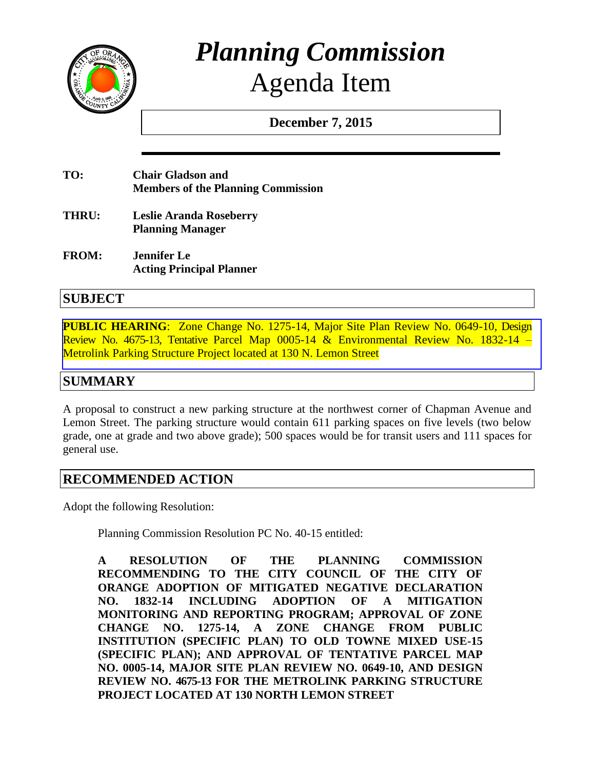

# *Planning Commission* Agenda Item

**December 7, 2015**

- **TO: Chair Gladson and Members of the Planning Commission**
- **THRU: Leslie Aranda Roseberry Planning Manager**
- **FROM: Jennifer Le Acting Principal Planner**

# **SUBJECT**

**PUBLIC HEARING**[: Zone Change No. 1275-14, Major Site Plan Review No. 0649-10, Design](http://www.cityoforange.org/civicax/filebank/blobdload.aspx?BlobID=16902)  Review No. 4675-13, Tentative Parcel Map 0005-14 & Environmental Review No. 1832-14 – Metrolink Parking Structure Project located at 130 N. Lemon Street

# **SUMMARY**

A proposal to construct a new parking structure at the northwest corner of Chapman Avenue and Lemon Street. The parking structure would contain 611 parking spaces on five levels (two below grade, one at grade and two above grade); 500 spaces would be for transit users and 111 spaces for general use.

# **RECOMMENDED ACTION**

Adopt the following Resolution:

Planning Commission Resolution PC No. 40-15 entitled:

**A RESOLUTION OF THE PLANNING COMMISSION RECOMMENDING TO THE CITY COUNCIL OF THE CITY OF ORANGE ADOPTION OF MITIGATED NEGATIVE DECLARATION NO. 1832-14 INCLUDING ADOPTION OF A MITIGATION MONITORING AND REPORTING PROGRAM; APPROVAL OF ZONE CHANGE NO. 1275-14, A ZONE CHANGE FROM PUBLIC INSTITUTION (SPECIFIC PLAN) TO OLD TOWNE MIXED USE-15 (SPECIFIC PLAN); AND APPROVAL OF TENTATIVE PARCEL MAP NO. 0005-14, MAJOR SITE PLAN REVIEW NO. 0649-10, AND DESIGN REVIEW NO. 4675-13 FOR THE METROLINK PARKING STRUCTURE PROJECT LOCATED AT 130 NORTH LEMON STREET**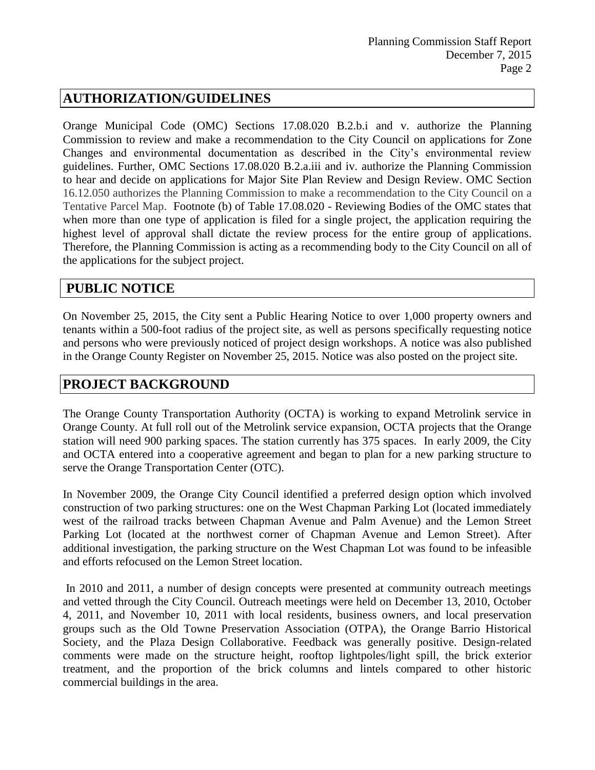# **AUTHORIZATION/GUIDELINES**

Orange Municipal Code (OMC) Sections 17.08.020 B.2.b.i and v. authorize the Planning Commission to review and make a recommendation to the City Council on applications for Zone Changes and environmental documentation as described in the City's environmental review guidelines. Further, OMC Sections 17.08.020 B.2.a.iii and iv. authorize the Planning Commission to hear and decide on applications for Major Site Plan Review and Design Review. OMC Section 16.12.050 authorizes the Planning Commission to make a recommendation to the City Council on a Tentative Parcel Map. Footnote (b) of Table 17.08.020 - Reviewing Bodies of the OMC states that when more than one type of application is filed for a single project, the application requiring the highest level of approval shall dictate the review process for the entire group of applications. Therefore, the Planning Commission is acting as a recommending body to the City Council on all of the applications for the subject project.

# **PUBLIC NOTICE**

On November 25, 2015, the City sent a Public Hearing Notice to over 1,000 property owners and tenants within a 500-foot radius of the project site, as well as persons specifically requesting notice and persons who were previously noticed of project design workshops. A notice was also published in the Orange County Register on November 25, 2015. Notice was also posted on the project site.

# **PROJECT BACKGROUND**

The Orange County Transportation Authority (OCTA) is working to expand Metrolink service in Orange County. At full roll out of the Metrolink service expansion, OCTA projects that the Orange station will need 900 parking spaces. The station currently has 375 spaces. In early 2009, the City and OCTA entered into a cooperative agreement and began to plan for a new parking structure to serve the Orange Transportation Center (OTC).

In November 2009, the Orange City Council identified a preferred design option which involved construction of two parking structures: one on the West Chapman Parking Lot (located immediately west of the railroad tracks between Chapman Avenue and Palm Avenue) and the Lemon Street Parking Lot (located at the northwest corner of Chapman Avenue and Lemon Street). After additional investigation, the parking structure on the West Chapman Lot was found to be infeasible and efforts refocused on the Lemon Street location.

In 2010 and 2011, a number of design concepts were presented at community outreach meetings and vetted through the City Council. Outreach meetings were held on December 13, 2010, October 4, 2011, and November 10, 2011 with local residents, business owners, and local preservation groups such as the Old Towne Preservation Association (OTPA), the Orange Barrio Historical Society, and the Plaza Design Collaborative. Feedback was generally positive. Design-related comments were made on the structure height, rooftop lightpoles/light spill, the brick exterior treatment, and the proportion of the brick columns and lintels compared to other historic commercial buildings in the area.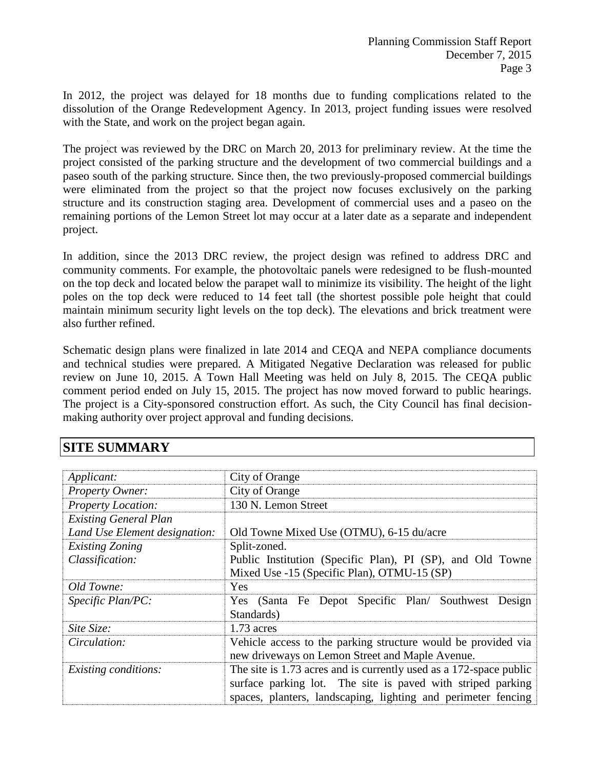In 2012, the project was delayed for 18 months due to funding complications related to the dissolution of the Orange Redevelopment Agency. In 2013, project funding issues were resolved with the State, and work on the project began again.

The project was reviewed by the DRC on March 20, 2013 for preliminary review. At the time the project consisted of the parking structure and the development of two commercial buildings and a paseo south of the parking structure. Since then, the two previously-proposed commercial buildings were eliminated from the project so that the project now focuses exclusively on the parking structure and its construction staging area. Development of commercial uses and a paseo on the remaining portions of the Lemon Street lot may occur at a later date as a separate and independent project.

In addition, since the 2013 DRC review, the project design was refined to address DRC and community comments. For example, the photovoltaic panels were redesigned to be flush-mounted on the top deck and located below the parapet wall to minimize its visibility. The height of the light poles on the top deck were reduced to 14 feet tall (the shortest possible pole height that could maintain minimum security light levels on the top deck). The elevations and brick treatment were also further refined.

Schematic design plans were finalized in late 2014 and CEQA and NEPA compliance documents and technical studies were prepared. A Mitigated Negative Declaration was released for public review on June 10, 2015. A Town Hall Meeting was held on July 8, 2015. The CEQA public comment period ended on July 15, 2015. The project has now moved forward to public hearings. The project is a City-sponsored construction effort. As such, the City Council has final decisionmaking authority over project approval and funding decisions.

### **SITE SUMMARY**

| Applicant:                    | City of Orange                                                                                                                                                                                     |
|-------------------------------|----------------------------------------------------------------------------------------------------------------------------------------------------------------------------------------------------|
| Property Owner:               | City of Orange                                                                                                                                                                                     |
| <b>Property Location:</b>     | 130 N. Lemon Street                                                                                                                                                                                |
| <b>Existing General Plan</b>  |                                                                                                                                                                                                    |
| Land Use Element designation: | Old Towne Mixed Use (OTMU), 6-15 du/acre                                                                                                                                                           |
| <b>Existing Zoning</b>        | Split-zoned.                                                                                                                                                                                       |
| Classification:               | Public Institution (Specific Plan), PI (SP), and Old Towne                                                                                                                                         |
|                               | Mixed Use -15 (Specific Plan), OTMU-15 (SP)                                                                                                                                                        |
| Old Towne:                    | Yes                                                                                                                                                                                                |
| Specific Plan/PC:             | Yes (Santa Fe Depot Specific Plan/ Southwest Design                                                                                                                                                |
|                               | Standards)                                                                                                                                                                                         |
| Site Size:                    | $1.73$ acres                                                                                                                                                                                       |
| Circulation:                  | Vehicle access to the parking structure would be provided via                                                                                                                                      |
|                               | new driveways on Lemon Street and Maple Avenue.                                                                                                                                                    |
| <i>Existing conditions:</i>   | The site is 1.73 acres and is currently used as a 172-space public<br>surface parking lot. The site is paved with striped parking<br>spaces, planters, landscaping, lighting and perimeter fencing |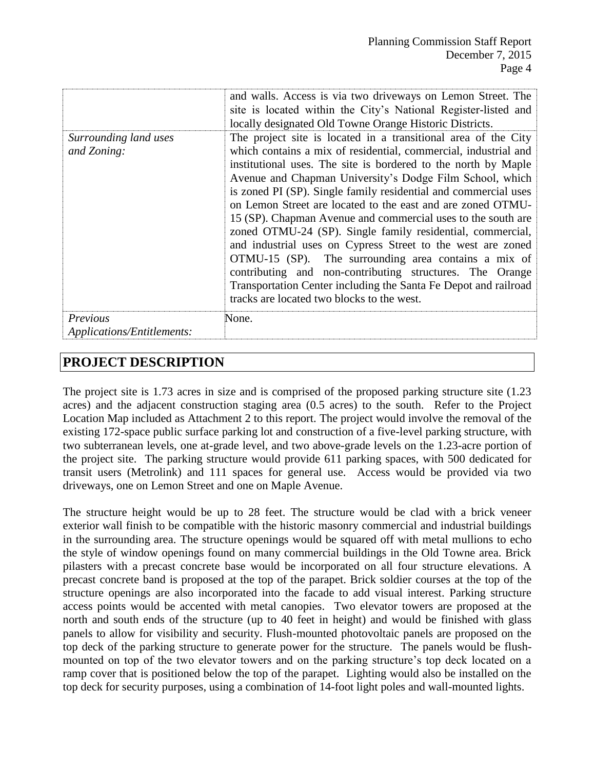|                                               | and walls. Access is via two driveways on Lemon Street. The<br>site is located within the City's National Register-listed and<br>locally designated Old Towne Orange Historic Districts.                                                                                                                                                                                                                                                                                                                                                                                                                                                                                                                                                                                                                                            |
|-----------------------------------------------|-------------------------------------------------------------------------------------------------------------------------------------------------------------------------------------------------------------------------------------------------------------------------------------------------------------------------------------------------------------------------------------------------------------------------------------------------------------------------------------------------------------------------------------------------------------------------------------------------------------------------------------------------------------------------------------------------------------------------------------------------------------------------------------------------------------------------------------|
| Surrounding land uses<br>and Zoning:          | The project site is located in a transitional area of the City<br>which contains a mix of residential, commercial, industrial and<br>institutional uses. The site is bordered to the north by Maple<br>Avenue and Chapman University's Dodge Film School, which<br>is zoned PI (SP). Single family residential and commercial uses<br>on Lemon Street are located to the east and are zoned OTMU-<br>15 (SP). Chapman Avenue and commercial uses to the south are<br>zoned OTMU-24 (SP). Single family residential, commercial,<br>and industrial uses on Cypress Street to the west are zoned<br>OTMU-15 (SP). The surrounding area contains a mix of<br>contributing and non-contributing structures. The Orange<br>Transportation Center including the Santa Fe Depot and railroad<br>tracks are located two blocks to the west. |
| Previous<br><b>Applications/Entitlements:</b> | None.                                                                                                                                                                                                                                                                                                                                                                                                                                                                                                                                                                                                                                                                                                                                                                                                                               |

# **PROJECT DESCRIPTION**

The project site is 1.73 acres in size and is comprised of the proposed parking structure site (1.23 acres) and the adjacent construction staging area (0.5 acres) to the south. Refer to the Project Location Map included as Attachment 2 to this report. The project would involve the removal of the existing 172-space public surface parking lot and construction of a five-level parking structure, with two subterranean levels, one at-grade level, and two above-grade levels on the 1.23-acre portion of the project site. The parking structure would provide 611 parking spaces, with 500 dedicated for transit users (Metrolink) and 111 spaces for general use. Access would be provided via two driveways, one on Lemon Street and one on Maple Avenue.

The structure height would be up to 28 feet. The structure would be clad with a brick veneer exterior wall finish to be compatible with the historic masonry commercial and industrial buildings in the surrounding area. The structure openings would be squared off with metal mullions to echo the style of window openings found on many commercial buildings in the Old Towne area. Brick pilasters with a precast concrete base would be incorporated on all four structure elevations. A precast concrete band is proposed at the top of the parapet. Brick soldier courses at the top of the structure openings are also incorporated into the facade to add visual interest. Parking structure access points would be accented with metal canopies. Two elevator towers are proposed at the north and south ends of the structure (up to 40 feet in height) and would be finished with glass panels to allow for visibility and security. Flush-mounted photovoltaic panels are proposed on the top deck of the parking structure to generate power for the structure. The panels would be flushmounted on top of the two elevator towers and on the parking structure's top deck located on a ramp cover that is positioned below the top of the parapet. Lighting would also be installed on the top deck for security purposes, using a combination of 14-foot light poles and wall-mounted lights.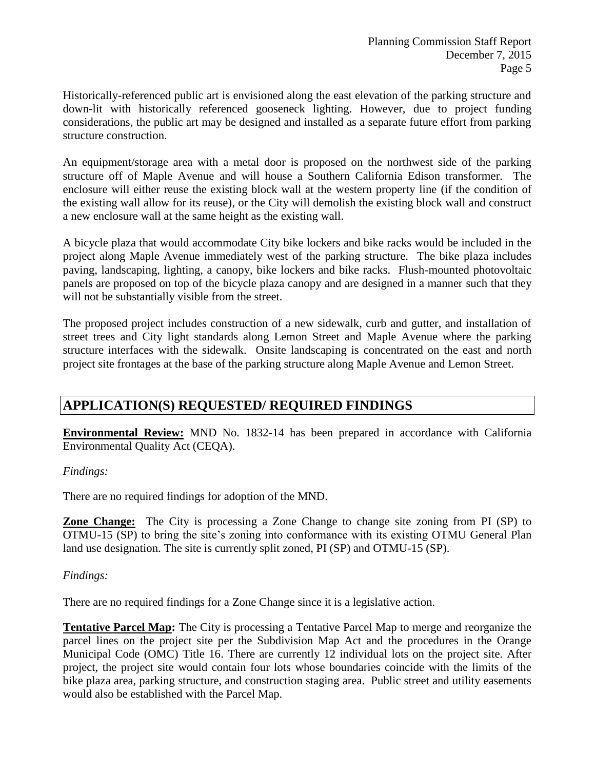Historically-referenced public art is envisioned along the east elevation of the parking structure and down-lit with historically referenced gooseneck lighting. However, due to project funding considerations, the public art may be designed and installed as a separate future effort from parking structure construction.

An equipment/storage area with a metal door is proposed on the northwest side of the parking structure off of Maple Avenue and will house a Southern California Edison transformer. The enclosure will either reuse the existing block wall at the western property line (if the condition of the existing wall allow for its reuse), or the City will demolish the existing block wall and construct a new enclosure wall at the same height as the existing wall.

A bicycle plaza that would accommodate City bike lockers and bike racks would be included in the project along Maple Avenue immediately west of the parking structure. The bike plaza includes paving, landscaping, lighting, a canopy, bike lockers and bike racks. Flush-mounted photovoltaic panels are proposed on top of the bicycle plaza canopy and are designed in a manner such that they will not be substantially visible from the street.

The proposed project includes construction of a new sidewalk, curb and gutter, and installation of street trees and City light standards along Lemon Street and Maple Avenue where the parking structure interfaces with the sidewalk. Onsite landscaping is concentrated on the east and north project site frontages at the base of the parking structure along Maple Avenue and Lemon Street.

# **APPLICATION(S) REQUESTED/ REQUIRED FINDINGS**

**Environmental Review:** MND No. 1832-14 has been prepared in accordance with California Environmental Quality Act (CEQA).

#### *Findings:*

There are no required findings for adoption of the MND.

**Zone Change:** The City is processing a Zone Change to change site zoning from PI (SP) to OTMU-15 (SP) to bring the site's zoning into conformance with its existing OTMU General Plan land use designation. The site is currently split zoned, PI (SP) and OTMU-15 (SP).

#### *Findings:*

There are no required findings for a Zone Change since it is a legislative action.

**Tentative Parcel Map:** The City is processing a Tentative Parcel Map to merge and reorganize the parcel lines on the project site per the Subdivision Map Act and the procedures in the Orange Municipal Code (OMC) Title 16. There are currently 12 individual lots on the project site. After project, the project site would contain four lots whose boundaries coincide with the limits of the bike plaza area, parking structure, and construction staging area. Public street and utility easements would also be established with the Parcel Map.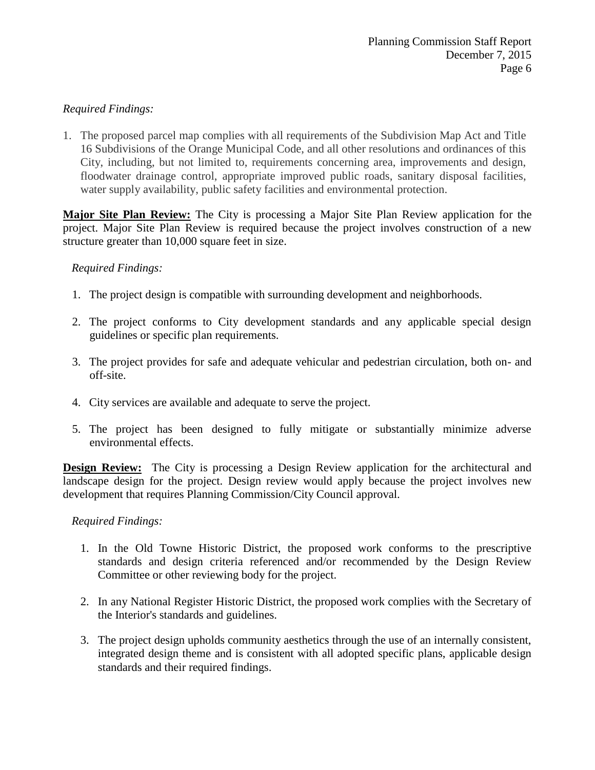#### *Required Findings:*

1. The proposed parcel map complies with all requirements of the Subdivision Map Act and Title 16 Subdivisions of the Orange Municipal Code, and all other resolutions and ordinances of this City, including, but not limited to, requirements concerning area, improvements and design, floodwater drainage control, appropriate improved public roads, sanitary disposal facilities, water supply availability, public safety facilities and environmental protection.

**Major Site Plan Review:** The City is processing a Major Site Plan Review application for the project. Major Site Plan Review is required because the project involves construction of a new structure greater than 10,000 square feet in size.

#### *Required Findings:*

- 1. The project design is compatible with surrounding development and neighborhoods.
- 2. The project conforms to City development standards and any applicable special design guidelines or specific plan requirements.
- 3. The project provides for safe and adequate vehicular and pedestrian circulation, both on- and off-site.
- 4. City services are available and adequate to serve the project.
- 5. The project has been designed to fully mitigate or substantially minimize adverse environmental effects.

**Design Review:** The City is processing a Design Review application for the architectural and landscape design for the project. Design review would apply because the project involves new development that requires Planning Commission/City Council approval.

#### *Required Findings:*

- 1. In the Old Towne Historic District, the proposed work conforms to the prescriptive standards and design criteria referenced and/or recommended by the Design Review Committee or other reviewing body for the project.
- 2. In any National Register Historic District, the proposed work complies with the Secretary of the Interior's standards and guidelines.
- 3. The project design upholds community aesthetics through the use of an internally consistent, integrated design theme and is consistent with all adopted specific plans, applicable design standards and their required findings.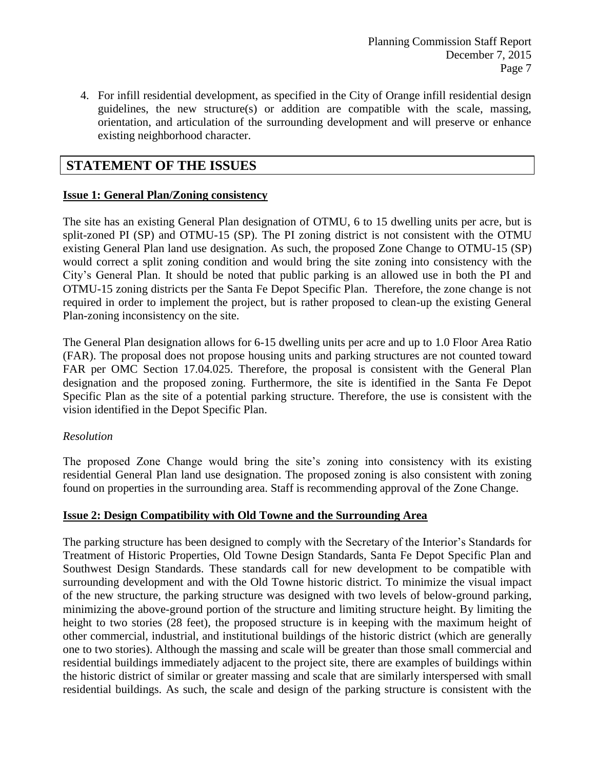4. For infill residential development, as specified in the City of Orange infill residential design guidelines, the new structure(s) or addition are compatible with the scale, massing, orientation, and articulation of the surrounding development and will preserve or enhance existing neighborhood character.

# **STATEMENT OF THE ISSUES**

#### **Issue 1: General Plan/Zoning consistency**

The site has an existing General Plan designation of OTMU, 6 to 15 dwelling units per acre, but is split-zoned PI (SP) and OTMU-15 (SP). The PI zoning district is not consistent with the OTMU existing General Plan land use designation. As such, the proposed Zone Change to OTMU-15 (SP) would correct a split zoning condition and would bring the site zoning into consistency with the City's General Plan. It should be noted that public parking is an allowed use in both the PI and OTMU-15 zoning districts per the Santa Fe Depot Specific Plan. Therefore, the zone change is not required in order to implement the project, but is rather proposed to clean-up the existing General Plan-zoning inconsistency on the site.

The General Plan designation allows for 6-15 dwelling units per acre and up to 1.0 Floor Area Ratio (FAR). The proposal does not propose housing units and parking structures are not counted toward FAR per OMC Section 17.04.025. Therefore, the proposal is consistent with the General Plan designation and the proposed zoning. Furthermore, the site is identified in the Santa Fe Depot Specific Plan as the site of a potential parking structure. Therefore, the use is consistent with the vision identified in the Depot Specific Plan.

#### *Resolution*

The proposed Zone Change would bring the site's zoning into consistency with its existing residential General Plan land use designation. The proposed zoning is also consistent with zoning found on properties in the surrounding area. Staff is recommending approval of the Zone Change.

#### **Issue 2: Design Compatibility with Old Towne and the Surrounding Area**

The parking structure has been designed to comply with the Secretary of the Interior's Standards for Treatment of Historic Properties, Old Towne Design Standards, Santa Fe Depot Specific Plan and Southwest Design Standards. These standards call for new development to be compatible with surrounding development and with the Old Towne historic district. To minimize the visual impact of the new structure, the parking structure was designed with two levels of below-ground parking, minimizing the above-ground portion of the structure and limiting structure height. By limiting the height to two stories (28 feet), the proposed structure is in keeping with the maximum height of other commercial, industrial, and institutional buildings of the historic district (which are generally one to two stories). Although the massing and scale will be greater than those small commercial and residential buildings immediately adjacent to the project site, there are examples of buildings within the historic district of similar or greater massing and scale that are similarly interspersed with small residential buildings. As such, the scale and design of the parking structure is consistent with the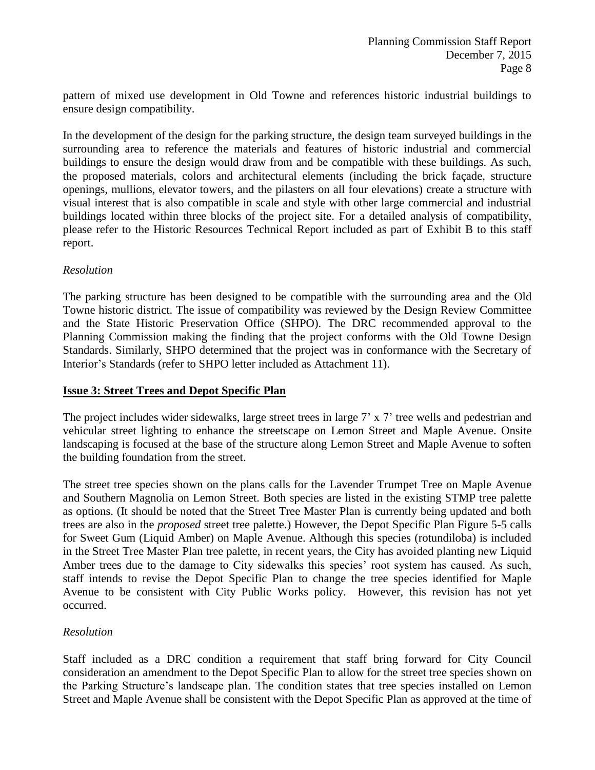pattern of mixed use development in Old Towne and references historic industrial buildings to ensure design compatibility.

In the development of the design for the parking structure, the design team surveyed buildings in the surrounding area to reference the materials and features of historic industrial and commercial buildings to ensure the design would draw from and be compatible with these buildings. As such, the proposed materials, colors and architectural elements (including the brick façade, structure openings, mullions, elevator towers, and the pilasters on all four elevations) create a structure with visual interest that is also compatible in scale and style with other large commercial and industrial buildings located within three blocks of the project site. For a detailed analysis of compatibility, please refer to the Historic Resources Technical Report included as part of Exhibit B to this staff report.

#### *Resolution*

The parking structure has been designed to be compatible with the surrounding area and the Old Towne historic district. The issue of compatibility was reviewed by the Design Review Committee and the State Historic Preservation Office (SHPO). The DRC recommended approval to the Planning Commission making the finding that the project conforms with the Old Towne Design Standards. Similarly, SHPO determined that the project was in conformance with the Secretary of Interior's Standards (refer to SHPO letter included as Attachment 11).

#### **Issue 3: Street Trees and Depot Specific Plan**

The project includes wider sidewalks, large street trees in large 7' x 7' tree wells and pedestrian and vehicular street lighting to enhance the streetscape on Lemon Street and Maple Avenue. Onsite landscaping is focused at the base of the structure along Lemon Street and Maple Avenue to soften the building foundation from the street.

The street tree species shown on the plans calls for the Lavender Trumpet Tree on Maple Avenue and Southern Magnolia on Lemon Street. Both species are listed in the existing STMP tree palette as options. (It should be noted that the Street Tree Master Plan is currently being updated and both trees are also in the *proposed* street tree palette.) However, the Depot Specific Plan Figure 5-5 calls for Sweet Gum (Liquid Amber) on Maple Avenue. Although this species (rotundiloba) is included in the Street Tree Master Plan tree palette, in recent years, the City has avoided planting new Liquid Amber trees due to the damage to City sidewalks this species' root system has caused. As such, staff intends to revise the Depot Specific Plan to change the tree species identified for Maple Avenue to be consistent with City Public Works policy. However, this revision has not yet occurred.

#### *Resolution*

Staff included as a DRC condition a requirement that staff bring forward for City Council consideration an amendment to the Depot Specific Plan to allow for the street tree species shown on the Parking Structure's landscape plan. The condition states that tree species installed on Lemon Street and Maple Avenue shall be consistent with the Depot Specific Plan as approved at the time of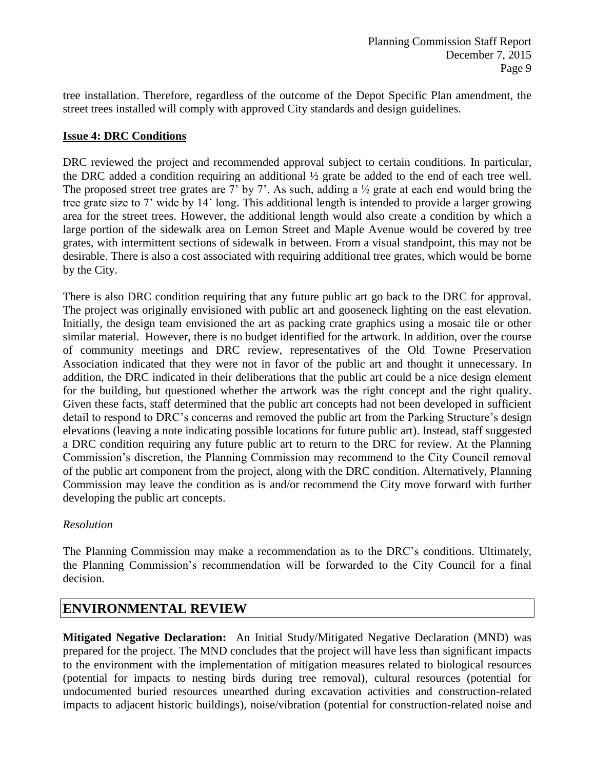tree installation. Therefore, regardless of the outcome of the Depot Specific Plan amendment, the street trees installed will comply with approved City standards and design guidelines.

#### **Issue 4: DRC Conditions**

DRC reviewed the project and recommended approval subject to certain conditions. In particular, the DRC added a condition requiring an additional ½ grate be added to the end of each tree well. The proposed street tree grates are 7' by 7'. As such, adding a  $\frac{1}{2}$  grate at each end would bring the tree grate size to 7' wide by 14' long. This additional length is intended to provide a larger growing area for the street trees. However, the additional length would also create a condition by which a large portion of the sidewalk area on Lemon Street and Maple Avenue would be covered by tree grates, with intermittent sections of sidewalk in between. From a visual standpoint, this may not be desirable. There is also a cost associated with requiring additional tree grates, which would be borne by the City.

There is also DRC condition requiring that any future public art go back to the DRC for approval. The project was originally envisioned with public art and gooseneck lighting on the east elevation. Initially, the design team envisioned the art as packing crate graphics using a mosaic tile or other similar material. However, there is no budget identified for the artwork. In addition, over the course of community meetings and DRC review, representatives of the Old Towne Preservation Association indicated that they were not in favor of the public art and thought it unnecessary. In addition, the DRC indicated in their deliberations that the public art could be a nice design element for the building, but questioned whether the artwork was the right concept and the right quality. Given these facts, staff determined that the public art concepts had not been developed in sufficient detail to respond to DRC's concerns and removed the public art from the Parking Structure's design elevations (leaving a note indicating possible locations for future public art). Instead, staff suggested a DRC condition requiring any future public art to return to the DRC for review. At the Planning Commission's discretion, the Planning Commission may recommend to the City Council removal of the public art component from the project, along with the DRC condition. Alternatively, Planning Commission may leave the condition as is and/or recommend the City move forward with further developing the public art concepts.

#### *Resolution*

The Planning Commission may make a recommendation as to the DRC's conditions. Ultimately, the Planning Commission's recommendation will be forwarded to the City Council for a final decision.

# **ENVIRONMENTAL REVIEW**

**Mitigated Negative Declaration:** An Initial Study/Mitigated Negative Declaration (MND) was prepared for the project. The MND concludes that the project will have less than significant impacts to the environment with the implementation of mitigation measures related to biological resources (potential for impacts to nesting birds during tree removal), cultural resources (potential for undocumented buried resources unearthed during excavation activities and construction-related impacts to adjacent historic buildings), noise/vibration (potential for construction-related noise and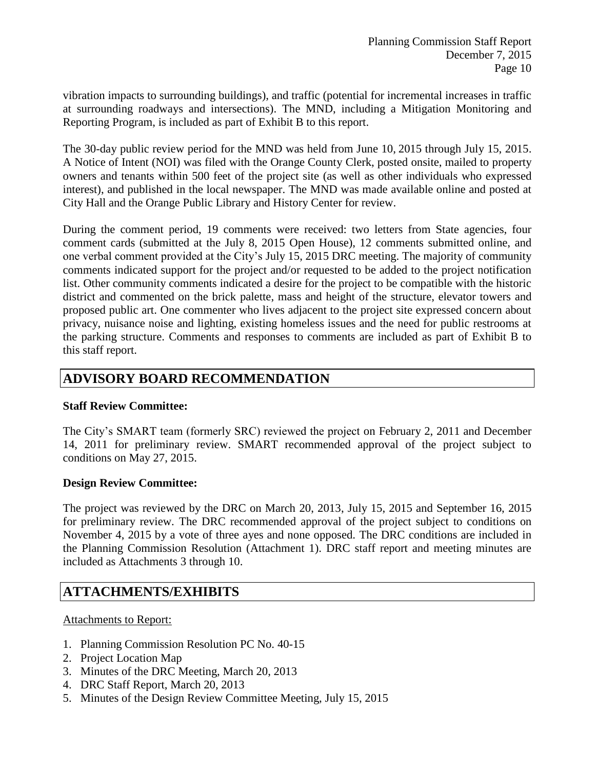vibration impacts to surrounding buildings), and traffic (potential for incremental increases in traffic at surrounding roadways and intersections). The MND, including a Mitigation Monitoring and Reporting Program, is included as part of Exhibit B to this report.

The 30-day public review period for the MND was held from June 10, 2015 through July 15, 2015. A Notice of Intent (NOI) was filed with the Orange County Clerk, posted onsite, mailed to property owners and tenants within 500 feet of the project site (as well as other individuals who expressed interest), and published in the local newspaper. The MND was made available online and posted at City Hall and the Orange Public Library and History Center for review.

During the comment period, 19 comments were received: two letters from State agencies, four comment cards (submitted at the July 8, 2015 Open House), 12 comments submitted online, and one verbal comment provided at the City's July 15, 2015 DRC meeting. The majority of community comments indicated support for the project and/or requested to be added to the project notification list. Other community comments indicated a desire for the project to be compatible with the historic district and commented on the brick palette, mass and height of the structure, elevator towers and proposed public art. One commenter who lives adjacent to the project site expressed concern about privacy, nuisance noise and lighting, existing homeless issues and the need for public restrooms at the parking structure. Comments and responses to comments are included as part of Exhibit B to this staff report.

# **ADVISORY BOARD RECOMMENDATION**

#### **Staff Review Committee:**

The City's SMART team (formerly SRC) reviewed the project on February 2, 2011 and December 14, 2011 for preliminary review. SMART recommended approval of the project subject to conditions on May 27, 2015.

#### **Design Review Committee:**

The project was reviewed by the DRC on March 20, 2013, July 15, 2015 and September 16, 2015 for preliminary review. The DRC recommended approval of the project subject to conditions on November 4, 2015 by a vote of three ayes and none opposed. The DRC conditions are included in the Planning Commission Resolution (Attachment 1). DRC staff report and meeting minutes are included as Attachments 3 through 10.

# **ATTACHMENTS/EXHIBITS**

#### Attachments to Report:

- 1. Planning Commission Resolution PC No. 40-15
- 2. Project Location Map
- 3. Minutes of the DRC Meeting, March 20, 2013
- 4. DRC Staff Report, March 20, 2013
- 5. Minutes of the Design Review Committee Meeting, July 15, 2015